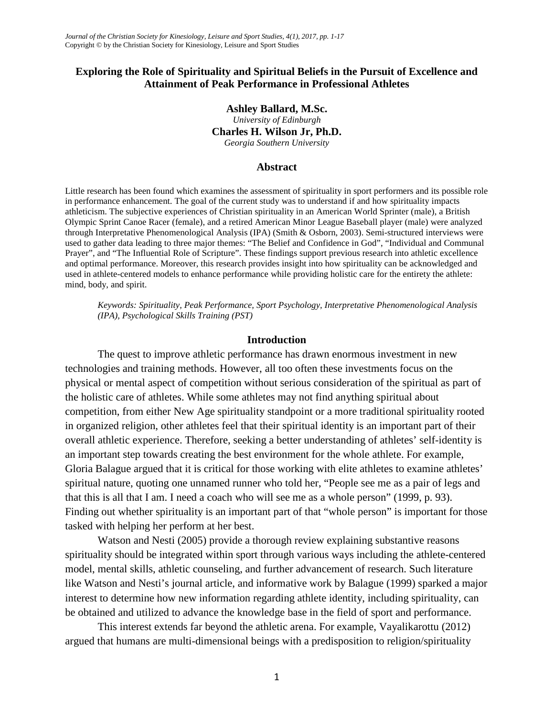# **Exploring the Role of Spirituality and Spiritual Beliefs in the Pursuit of Excellence and Attainment of Peak Performance in Professional Athletes**

#### **Ashley Ballard, M.Sc.**

*University of Edinburgh* **Charles H. Wilson Jr, Ph.D.**

*Georgia Southern University*

#### **Abstract**

Little research has been found which examines the assessment of spirituality in sport performers and its possible role in performance enhancement. The goal of the current study was to understand if and how spirituality impacts athleticism. The subjective experiences of Christian spirituality in an American World Sprinter (male), a British Olympic Sprint Canoe Racer (female), and a retired American Minor League Baseball player (male) were analyzed through Interpretative Phenomenological Analysis (IPA) (Smith & Osborn, 2003). Semi-structured interviews were used to gather data leading to three major themes: "The Belief and Confidence in God", "Individual and Communal Prayer", and "The Influential Role of Scripture". These findings support previous research into athletic excellence and optimal performance. Moreover, this research provides insight into how spirituality can be acknowledged and used in athlete-centered models to enhance performance while providing holistic care for the entirety the athlete: mind, body, and spirit.

*Keywords: Spirituality, Peak Performance, Sport Psychology, Interpretative Phenomenological Analysis (IPA), Psychological Skills Training (PST)*

#### **Introduction**

The quest to improve athletic performance has drawn enormous investment in new technologies and training methods. However, all too often these investments focus on the physical or mental aspect of competition without serious consideration of the spiritual as part of the holistic care of athletes. While some athletes may not find anything spiritual about competition, from either New Age spirituality standpoint or a more traditional spirituality rooted in organized religion, other athletes feel that their spiritual identity is an important part of their overall athletic experience. Therefore, seeking a better understanding of athletes' self-identity is an important step towards creating the best environment for the whole athlete. For example, Gloria Balague argued that it is critical for those working with elite athletes to examine athletes' spiritual nature, quoting one unnamed runner who told her, "People see me as a pair of legs and that this is all that I am. I need a coach who will see me as a whole person" (1999, p. 93). Finding out whether spirituality is an important part of that "whole person" is important for those tasked with helping her perform at her best.

Watson and Nesti (2005) provide a thorough review explaining substantive reasons spirituality should be integrated within sport through various ways including the athlete-centered model, mental skills, athletic counseling, and further advancement of research. Such literature like Watson and Nesti's journal article, and informative work by Balague (1999) sparked a major interest to determine how new information regarding athlete identity, including spirituality, can be obtained and utilized to advance the knowledge base in the field of sport and performance.

This interest extends far beyond the athletic arena. For example, Vayalikarottu (2012) argued that humans are multi-dimensional beings with a predisposition to religion/spirituality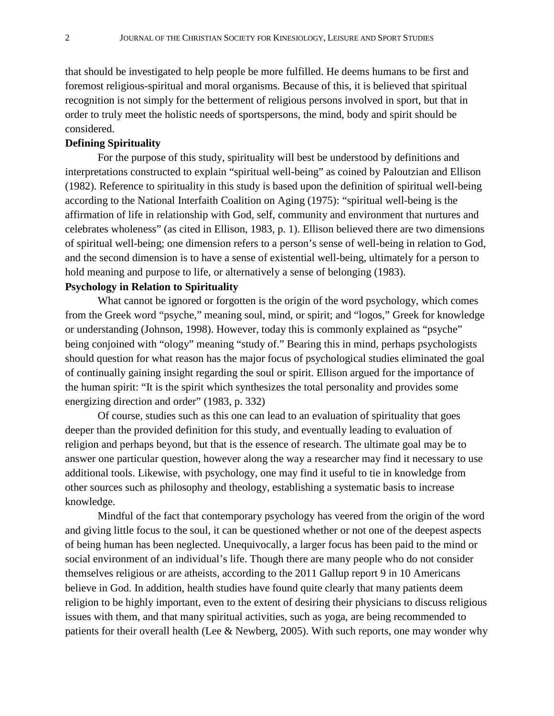that should be investigated to help people be more fulfilled. He deems humans to be first and foremost religious-spiritual and moral organisms. Because of this, it is believed that spiritual recognition is not simply for the betterment of religious persons involved in sport, but that in order to truly meet the holistic needs of sportspersons, the mind, body and spirit should be considered.

### **Defining Spirituality**

For the purpose of this study, spirituality will best be understood by definitions and interpretations constructed to explain "spiritual well-being" as coined by Paloutzian and Ellison (1982). Reference to spirituality in this study is based upon the definition of spiritual well-being according to the National Interfaith Coalition on Aging (1975): "spiritual well-being is the affirmation of life in relationship with God, self, community and environment that nurtures and celebrates wholeness" (as cited in Ellison, 1983, p. 1). Ellison believed there are two dimensions of spiritual well-being; one dimension refers to a person's sense of well-being in relation to God, and the second dimension is to have a sense of existential well-being, ultimately for a person to hold meaning and purpose to life, or alternatively a sense of belonging (1983).

## **Psychology in Relation to Spirituality**

What cannot be ignored or forgotten is the origin of the word psychology, which comes from the Greek word "psyche," meaning soul, mind, or spirit; and "logos," Greek for knowledge or understanding (Johnson, 1998). However, today this is commonly explained as "psyche" being conjoined with "ology" meaning "study of." Bearing this in mind, perhaps psychologists should question for what reason has the major focus of psychological studies eliminated the goal of continually gaining insight regarding the soul or spirit. Ellison argued for the importance of the human spirit: "It is the spirit which synthesizes the total personality and provides some energizing direction and order" (1983, p. 332)

Of course, studies such as this one can lead to an evaluation of spirituality that goes deeper than the provided definition for this study, and eventually leading to evaluation of religion and perhaps beyond, but that is the essence of research. The ultimate goal may be to answer one particular question, however along the way a researcher may find it necessary to use additional tools. Likewise, with psychology, one may find it useful to tie in knowledge from other sources such as philosophy and theology, establishing a systematic basis to increase knowledge.

Mindful of the fact that contemporary psychology has veered from the origin of the word and giving little focus to the soul, it can be questioned whether or not one of the deepest aspects of being human has been neglected. Unequivocally, a larger focus has been paid to the mind or social environment of an individual's life. Though there are many people who do not consider themselves religious or are atheists, according to the 2011 Gallup report 9 in 10 Americans believe in God. In addition, health studies have found quite clearly that many patients deem religion to be highly important, even to the extent of desiring their physicians to discuss religious issues with them, and that many spiritual activities, such as yoga, are being recommended to patients for their overall health (Lee & Newberg, 2005). With such reports, one may wonder why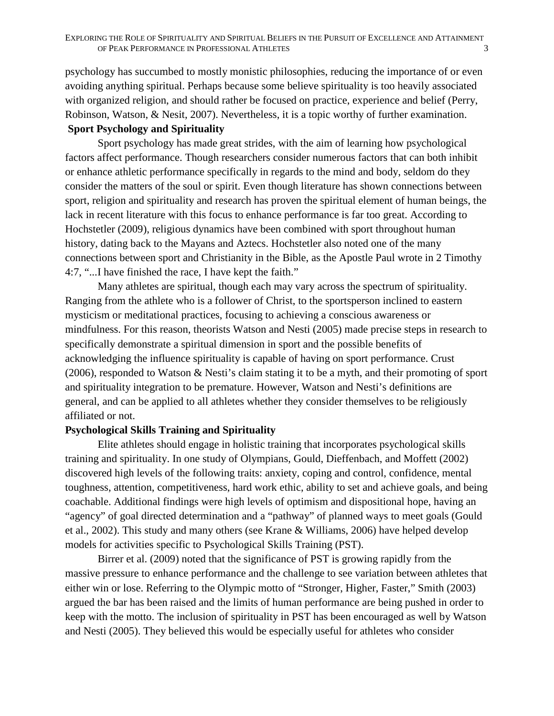psychology has succumbed to mostly monistic philosophies, reducing the importance of or even avoiding anything spiritual. Perhaps because some believe spirituality is too heavily associated with organized religion, and should rather be focused on practice, experience and belief (Perry, Robinson, Watson, & Nesit, 2007). Nevertheless, it is a topic worthy of further examination.

# **Sport Psychology and Spirituality**

Sport psychology has made great strides, with the aim of learning how psychological factors affect performance. Though researchers consider numerous factors that can both inhibit or enhance athletic performance specifically in regards to the mind and body, seldom do they consider the matters of the soul or spirit. Even though literature has shown connections between sport, religion and spirituality and research has proven the spiritual element of human beings, the lack in recent literature with this focus to enhance performance is far too great. According to Hochstetler (2009), religious dynamics have been combined with sport throughout human history, dating back to the Mayans and Aztecs. Hochstetler also noted one of the many connections between sport and Christianity in the Bible, as the Apostle Paul wrote in 2 Timothy 4:7, "...I have finished the race, I have kept the faith."

Many athletes are spiritual, though each may vary across the spectrum of spirituality. Ranging from the athlete who is a follower of Christ, to the sportsperson inclined to eastern mysticism or meditational practices, focusing to achieving a conscious awareness or mindfulness. For this reason, theorists Watson and Nesti (2005) made precise steps in research to specifically demonstrate a spiritual dimension in sport and the possible benefits of acknowledging the influence spirituality is capable of having on sport performance. Crust (2006), responded to Watson & Nesti's claim stating it to be a myth, and their promoting of sport and spirituality integration to be premature. However, Watson and Nesti's definitions are general, and can be applied to all athletes whether they consider themselves to be religiously affiliated or not.

## **Psychological Skills Training and Spirituality**

Elite athletes should engage in holistic training that incorporates psychological skills training and spirituality. In one study of Olympians, Gould, Dieffenbach, and Moffett (2002) discovered high levels of the following traits: anxiety, coping and control, confidence, mental toughness, attention, competitiveness, hard work ethic, ability to set and achieve goals, and being coachable. Additional findings were high levels of optimism and dispositional hope, having an "agency" of goal directed determination and a "pathway" of planned ways to meet goals (Gould et al., 2002). This study and many others (see Krane & Williams, 2006) have helped develop models for activities specific to Psychological Skills Training (PST).

Birrer et al. (2009) noted that the significance of PST is growing rapidly from the massive pressure to enhance performance and the challenge to see variation between athletes that either win or lose. Referring to the Olympic motto of "Stronger, Higher, Faster," Smith (2003) argued the bar has been raised and the limits of human performance are being pushed in order to keep with the motto. The inclusion of spirituality in PST has been encouraged as well by Watson and Nesti (2005). They believed this would be especially useful for athletes who consider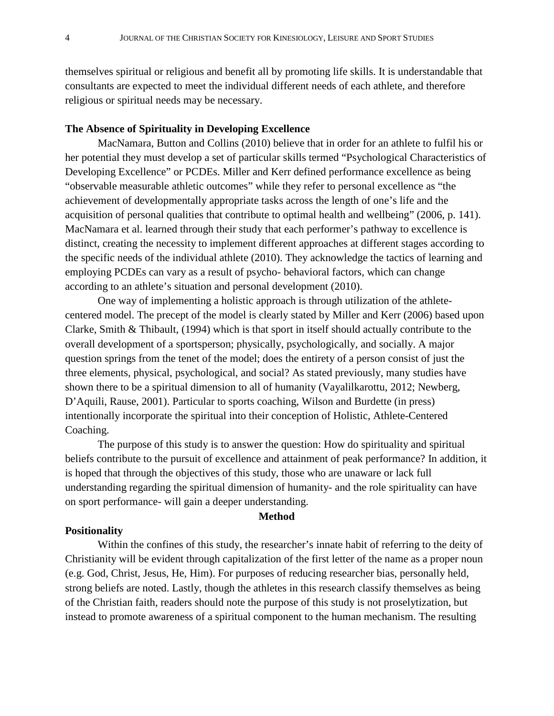themselves spiritual or religious and benefit all by promoting life skills. It is understandable that consultants are expected to meet the individual different needs of each athlete, and therefore religious or spiritual needs may be necessary.

# **The Absence of Spirituality in Developing Excellence**

MacNamara, Button and Collins (2010) believe that in order for an athlete to fulfil his or her potential they must develop a set of particular skills termed "Psychological Characteristics of Developing Excellence" or PCDEs. Miller and Kerr defined performance excellence as being "observable measurable athletic outcomes" while they refer to personal excellence as "the achievement of developmentally appropriate tasks across the length of one's life and the acquisition of personal qualities that contribute to optimal health and wellbeing" (2006, p. 141). MacNamara et al. learned through their study that each performer's pathway to excellence is distinct, creating the necessity to implement different approaches at different stages according to the specific needs of the individual athlete (2010). They acknowledge the tactics of learning and employing PCDEs can vary as a result of psycho- behavioral factors, which can change according to an athlete's situation and personal development (2010).

One way of implementing a holistic approach is through utilization of the athletecentered model. The precept of the model is clearly stated by Miller and Kerr (2006) based upon Clarke, Smith & Thibault, (1994) which is that sport in itself should actually contribute to the overall development of a sportsperson; physically, psychologically, and socially. A major question springs from the tenet of the model; does the entirety of a person consist of just the three elements, physical, psychological, and social? As stated previously, many studies have shown there to be a spiritual dimension to all of humanity (Vayalilkarottu, 2012; Newberg, D'Aquili, Rause, 2001). Particular to sports coaching, Wilson and Burdette (in press) intentionally incorporate the spiritual into their conception of Holistic, Athlete-Centered Coaching.

The purpose of this study is to answer the question: How do spirituality and spiritual beliefs contribute to the pursuit of excellence and attainment of peak performance? In addition, it is hoped that through the objectives of this study, those who are unaware or lack full understanding regarding the spiritual dimension of humanity- and the role spirituality can have on sport performance- will gain a deeper understanding.

#### **Method**

#### **Positionality**

Within the confines of this study, the researcher's innate habit of referring to the deity of Christianity will be evident through capitalization of the first letter of the name as a proper noun (e.g. God, Christ, Jesus, He, Him). For purposes of reducing researcher bias, personally held, strong beliefs are noted. Lastly, though the athletes in this research classify themselves as being of the Christian faith, readers should note the purpose of this study is not proselytization, but instead to promote awareness of a spiritual component to the human mechanism. The resulting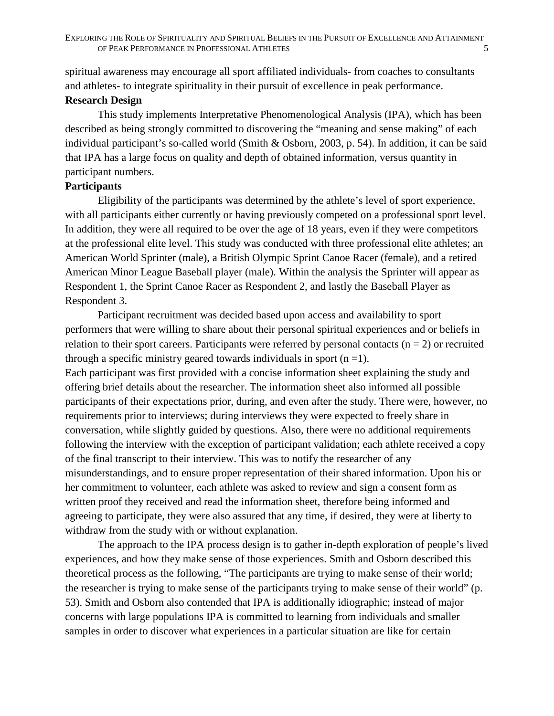spiritual awareness may encourage all sport affiliated individuals- from coaches to consultants and athletes- to integrate spirituality in their pursuit of excellence in peak performance.

# **Research Design**

This study implements Interpretative Phenomenological Analysis (IPA), which has been described as being strongly committed to discovering the "meaning and sense making" of each individual participant's so-called world (Smith & Osborn, 2003, p. 54). In addition, it can be said that IPA has a large focus on quality and depth of obtained information, versus quantity in participant numbers.

# **Participants**

Eligibility of the participants was determined by the athlete's level of sport experience, with all participants either currently or having previously competed on a professional sport level. In addition, they were all required to be over the age of 18 years, even if they were competitors at the professional elite level. This study was conducted with three professional elite athletes; an American World Sprinter (male), a British Olympic Sprint Canoe Racer (female), and a retired American Minor League Baseball player (male). Within the analysis the Sprinter will appear as Respondent 1, the Sprint Canoe Racer as Respondent 2, and lastly the Baseball Player as Respondent 3.

Participant recruitment was decided based upon access and availability to sport performers that were willing to share about their personal spiritual experiences and or beliefs in relation to their sport careers. Participants were referred by personal contacts ( $n = 2$ ) or recruited through a specific ministry geared towards individuals in sport  $(n = 1)$ .

Each participant was first provided with a concise information sheet explaining the study and offering brief details about the researcher. The information sheet also informed all possible participants of their expectations prior, during, and even after the study. There were, however, no requirements prior to interviews; during interviews they were expected to freely share in conversation, while slightly guided by questions. Also, there were no additional requirements following the interview with the exception of participant validation; each athlete received a copy of the final transcript to their interview. This was to notify the researcher of any misunderstandings, and to ensure proper representation of their shared information. Upon his or her commitment to volunteer, each athlete was asked to review and sign a consent form as written proof they received and read the information sheet, therefore being informed and agreeing to participate, they were also assured that any time, if desired, they were at liberty to withdraw from the study with or without explanation.

The approach to the IPA process design is to gather in-depth exploration of people's lived experiences, and how they make sense of those experiences. Smith and Osborn described this theoretical process as the following, "The participants are trying to make sense of their world; the researcher is trying to make sense of the participants trying to make sense of their world" (p. 53). Smith and Osborn also contended that IPA is additionally idiographic; instead of major concerns with large populations IPA is committed to learning from individuals and smaller samples in order to discover what experiences in a particular situation are like for certain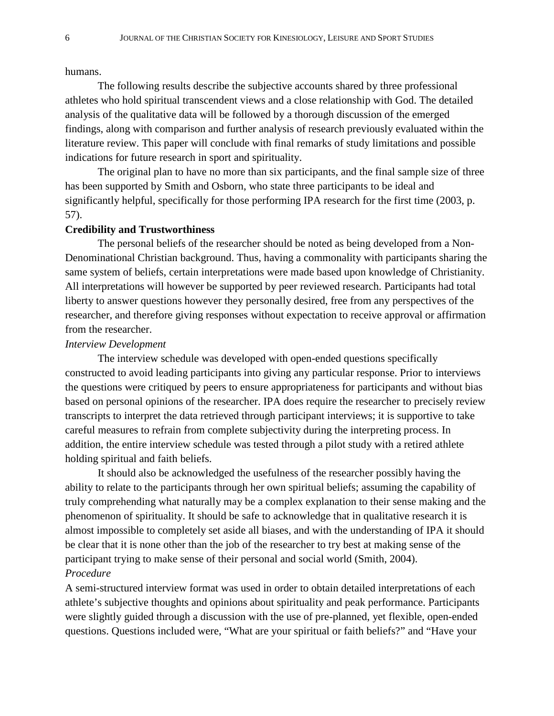#### humans.

The following results describe the subjective accounts shared by three professional athletes who hold spiritual transcendent views and a close relationship with God. The detailed analysis of the qualitative data will be followed by a thorough discussion of the emerged findings, along with comparison and further analysis of research previously evaluated within the literature review. This paper will conclude with final remarks of study limitations and possible indications for future research in sport and spirituality.

The original plan to have no more than six participants, and the final sample size of three has been supported by Smith and Osborn, who state three participants to be ideal and significantly helpful, specifically for those performing IPA research for the first time (2003, p. 57).

### **Credibility and Trustworthiness**

The personal beliefs of the researcher should be noted as being developed from a Non-Denominational Christian background. Thus, having a commonality with participants sharing the same system of beliefs, certain interpretations were made based upon knowledge of Christianity. All interpretations will however be supported by peer reviewed research. Participants had total liberty to answer questions however they personally desired, free from any perspectives of the researcher, and therefore giving responses without expectation to receive approval or affirmation from the researcher.

## *Interview Development*

The interview schedule was developed with open-ended questions specifically constructed to avoid leading participants into giving any particular response. Prior to interviews the questions were critiqued by peers to ensure appropriateness for participants and without bias based on personal opinions of the researcher. IPA does require the researcher to precisely review transcripts to interpret the data retrieved through participant interviews; it is supportive to take careful measures to refrain from complete subjectivity during the interpreting process. In addition, the entire interview schedule was tested through a pilot study with a retired athlete holding spiritual and faith beliefs.

It should also be acknowledged the usefulness of the researcher possibly having the ability to relate to the participants through her own spiritual beliefs; assuming the capability of truly comprehending what naturally may be a complex explanation to their sense making and the phenomenon of spirituality. It should be safe to acknowledge that in qualitative research it is almost impossible to completely set aside all biases, and with the understanding of IPA it should be clear that it is none other than the job of the researcher to try best at making sense of the participant trying to make sense of their personal and social world (Smith, 2004). *Procedure* 

A semi-structured interview format was used in order to obtain detailed interpretations of each athlete's subjective thoughts and opinions about spirituality and peak performance. Participants were slightly guided through a discussion with the use of pre-planned, yet flexible, open-ended questions. Questions included were, "What are your spiritual or faith beliefs?" and "Have your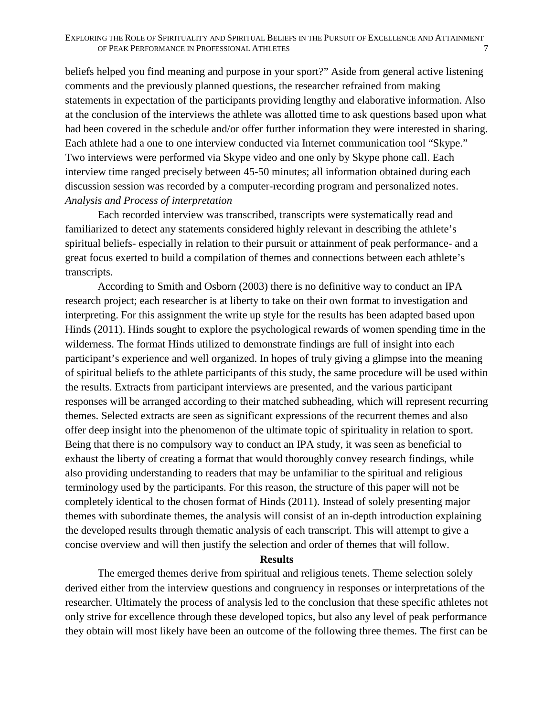beliefs helped you find meaning and purpose in your sport?" Aside from general active listening comments and the previously planned questions, the researcher refrained from making statements in expectation of the participants providing lengthy and elaborative information. Also at the conclusion of the interviews the athlete was allotted time to ask questions based upon what had been covered in the schedule and/or offer further information they were interested in sharing. Each athlete had a one to one interview conducted via Internet communication tool "Skype." Two interviews were performed via Skype video and one only by Skype phone call. Each interview time ranged precisely between 45-50 minutes; all information obtained during each discussion session was recorded by a computer-recording program and personalized notes. *Analysis and Process of interpretation* 

Each recorded interview was transcribed, transcripts were systematically read and familiarized to detect any statements considered highly relevant in describing the athlete's spiritual beliefs- especially in relation to their pursuit or attainment of peak performance- and a great focus exerted to build a compilation of themes and connections between each athlete's transcripts.

According to Smith and Osborn (2003) there is no definitive way to conduct an IPA research project; each researcher is at liberty to take on their own format to investigation and interpreting. For this assignment the write up style for the results has been adapted based upon Hinds (2011). Hinds sought to explore the psychological rewards of women spending time in the wilderness. The format Hinds utilized to demonstrate findings are full of insight into each participant's experience and well organized. In hopes of truly giving a glimpse into the meaning of spiritual beliefs to the athlete participants of this study, the same procedure will be used within the results. Extracts from participant interviews are presented, and the various participant responses will be arranged according to their matched subheading, which will represent recurring themes. Selected extracts are seen as significant expressions of the recurrent themes and also offer deep insight into the phenomenon of the ultimate topic of spirituality in relation to sport. Being that there is no compulsory way to conduct an IPA study, it was seen as beneficial to exhaust the liberty of creating a format that would thoroughly convey research findings, while also providing understanding to readers that may be unfamiliar to the spiritual and religious terminology used by the participants. For this reason, the structure of this paper will not be completely identical to the chosen format of Hinds (2011). Instead of solely presenting major themes with subordinate themes, the analysis will consist of an in-depth introduction explaining the developed results through thematic analysis of each transcript. This will attempt to give a concise overview and will then justify the selection and order of themes that will follow.

#### **Results**

The emerged themes derive from spiritual and religious tenets. Theme selection solely derived either from the interview questions and congruency in responses or interpretations of the researcher. Ultimately the process of analysis led to the conclusion that these specific athletes not only strive for excellence through these developed topics, but also any level of peak performance they obtain will most likely have been an outcome of the following three themes. The first can be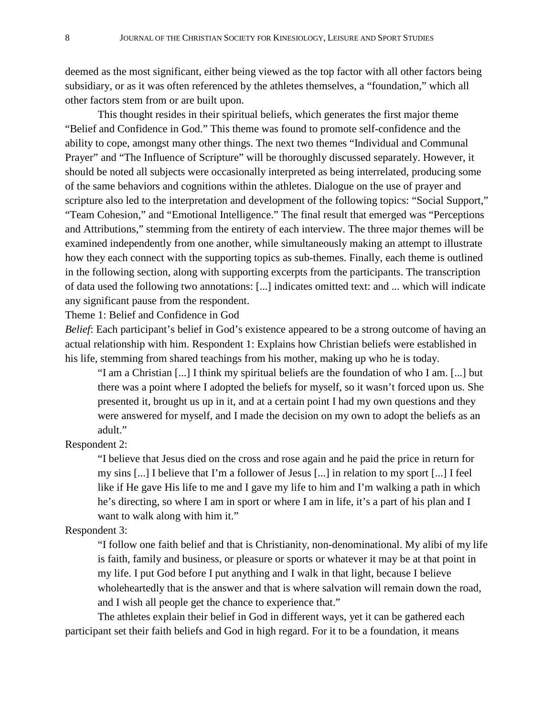deemed as the most significant, either being viewed as the top factor with all other factors being subsidiary, or as it was often referenced by the athletes themselves, a "foundation," which all other factors stem from or are built upon.

This thought resides in their spiritual beliefs, which generates the first major theme "Belief and Confidence in God." This theme was found to promote self-confidence and the ability to cope, amongst many other things. The next two themes "Individual and Communal Prayer" and "The Influence of Scripture" will be thoroughly discussed separately. However, it should be noted all subjects were occasionally interpreted as being interrelated, producing some of the same behaviors and cognitions within the athletes. Dialogue on the use of prayer and scripture also led to the interpretation and development of the following topics: "Social Support," "Team Cohesion," and "Emotional Intelligence." The final result that emerged was "Perceptions and Attributions," stemming from the entirety of each interview. The three major themes will be examined independently from one another, while simultaneously making an attempt to illustrate how they each connect with the supporting topics as sub-themes. Finally, each theme is outlined in the following section, along with supporting excerpts from the participants. The transcription of data used the following two annotations: [...] indicates omitted text: and ... which will indicate any significant pause from the respondent.

Theme 1: Belief and Confidence in God

*Belief*: Each participant's belief in God's existence appeared to be a strong outcome of having an actual relationship with him. Respondent 1: Explains how Christian beliefs were established in his life, stemming from shared teachings from his mother, making up who he is today.

"I am a Christian [...] I think my spiritual beliefs are the foundation of who I am. [...] but there was a point where I adopted the beliefs for myself, so it wasn't forced upon us. She presented it, brought us up in it, and at a certain point I had my own questions and they were answered for myself, and I made the decision on my own to adopt the beliefs as an adult."

## Respondent 2:

"I believe that Jesus died on the cross and rose again and he paid the price in return for my sins [...] I believe that I'm a follower of Jesus [...] in relation to my sport [...] I feel like if He gave His life to me and I gave my life to him and I'm walking a path in which he's directing, so where I am in sport or where I am in life, it's a part of his plan and I want to walk along with him it."

# Respondent 3:

"I follow one faith belief and that is Christianity, non-denominational. My alibi of my life is faith, family and business, or pleasure or sports or whatever it may be at that point in my life. I put God before I put anything and I walk in that light, because I believe wholeheartedly that is the answer and that is where salvation will remain down the road, and I wish all people get the chance to experience that."

The athletes explain their belief in God in different ways, yet it can be gathered each participant set their faith beliefs and God in high regard. For it to be a foundation, it means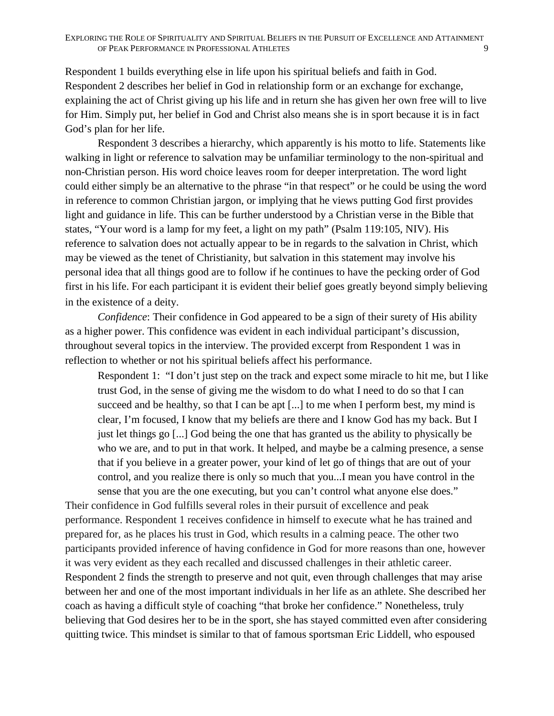Respondent 1 builds everything else in life upon his spiritual beliefs and faith in God. Respondent 2 describes her belief in God in relationship form or an exchange for exchange, explaining the act of Christ giving up his life and in return she has given her own free will to live for Him. Simply put, her belief in God and Christ also means she is in sport because it is in fact God's plan for her life.

Respondent 3 describes a hierarchy, which apparently is his motto to life. Statements like walking in light or reference to salvation may be unfamiliar terminology to the non-spiritual and non-Christian person. His word choice leaves room for deeper interpretation. The word light could either simply be an alternative to the phrase "in that respect" or he could be using the word in reference to common Christian jargon, or implying that he views putting God first provides light and guidance in life. This can be further understood by a Christian verse in the Bible that states, "Your word is a lamp for my feet, a light on my path" (Psalm 119:105, NIV). His reference to salvation does not actually appear to be in regards to the salvation in Christ, which may be viewed as the tenet of Christianity, but salvation in this statement may involve his personal idea that all things good are to follow if he continues to have the pecking order of God first in his life. For each participant it is evident their belief goes greatly beyond simply believing in the existence of a deity.

*Confidence*: Their confidence in God appeared to be a sign of their surety of His ability as a higher power. This confidence was evident in each individual participant's discussion, throughout several topics in the interview. The provided excerpt from Respondent 1 was in reflection to whether or not his spiritual beliefs affect his performance.

Respondent 1: "I don't just step on the track and expect some miracle to hit me, but I like trust God, in the sense of giving me the wisdom to do what I need to do so that I can succeed and be healthy, so that I can be apt [...] to me when I perform best, my mind is clear, I'm focused, I know that my beliefs are there and I know God has my back. But I just let things go [...] God being the one that has granted us the ability to physically be who we are, and to put in that work. It helped, and maybe be a calming presence, a sense that if you believe in a greater power, your kind of let go of things that are out of your control, and you realize there is only so much that you...I mean you have control in the sense that you are the one executing, but you can't control what anyone else does."

Their confidence in God fulfills several roles in their pursuit of excellence and peak performance. Respondent 1 receives confidence in himself to execute what he has trained and prepared for, as he places his trust in God, which results in a calming peace. The other two participants provided inference of having confidence in God for more reasons than one, however it was very evident as they each recalled and discussed challenges in their athletic career. Respondent 2 finds the strength to preserve and not quit, even through challenges that may arise between her and one of the most important individuals in her life as an athlete. She described her coach as having a difficult style of coaching "that broke her confidence." Nonetheless, truly believing that God desires her to be in the sport, she has stayed committed even after considering quitting twice. This mindset is similar to that of famous sportsman Eric Liddell, who espoused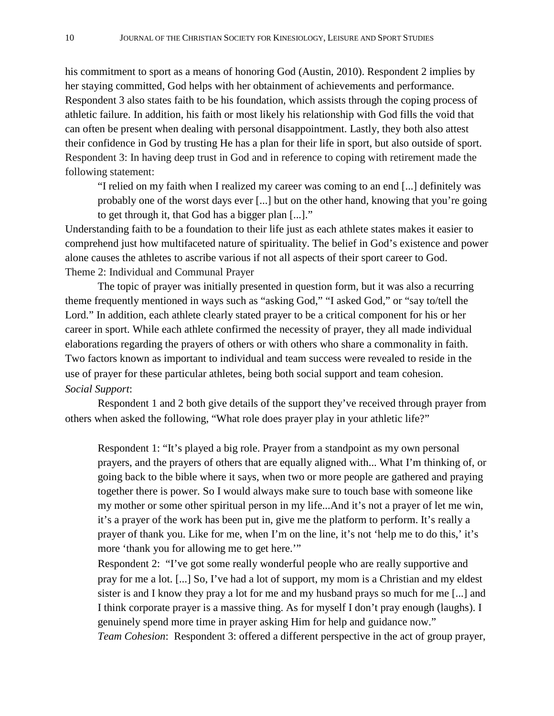his commitment to sport as a means of honoring God (Austin, 2010). Respondent 2 implies by her staying committed, God helps with her obtainment of achievements and performance. Respondent 3 also states faith to be his foundation, which assists through the coping process of athletic failure. In addition, his faith or most likely his relationship with God fills the void that can often be present when dealing with personal disappointment. Lastly, they both also attest their confidence in God by trusting He has a plan for their life in sport, but also outside of sport. Respondent 3: In having deep trust in God and in reference to coping with retirement made the following statement:

"I relied on my faith when I realized my career was coming to an end [...] definitely was probably one of the worst days ever [...] but on the other hand, knowing that you're going to get through it, that God has a bigger plan [...]."

Understanding faith to be a foundation to their life just as each athlete states makes it easier to comprehend just how multifaceted nature of spirituality. The belief in God's existence and power alone causes the athletes to ascribe various if not all aspects of their sport career to God. Theme 2: Individual and Communal Prayer

The topic of prayer was initially presented in question form, but it was also a recurring theme frequently mentioned in ways such as "asking God," "I asked God," or "say to/tell the Lord." In addition, each athlete clearly stated prayer to be a critical component for his or her career in sport. While each athlete confirmed the necessity of prayer, they all made individual elaborations regarding the prayers of others or with others who share a commonality in faith. Two factors known as important to individual and team success were revealed to reside in the use of prayer for these particular athletes, being both social support and team cohesion. *Social Support*:

Respondent 1 and 2 both give details of the support they've received through prayer from others when asked the following, "What role does prayer play in your athletic life?"

Respondent 1: "It's played a big role. Prayer from a standpoint as my own personal prayers, and the prayers of others that are equally aligned with... What I'm thinking of, or going back to the bible where it says, when two or more people are gathered and praying together there is power. So I would always make sure to touch base with someone like my mother or some other spiritual person in my life...And it's not a prayer of let me win, it's a prayer of the work has been put in, give me the platform to perform. It's really a prayer of thank you. Like for me, when I'm on the line, it's not 'help me to do this,' it's more 'thank you for allowing me to get here.'"

Respondent 2: "I've got some really wonderful people who are really supportive and pray for me a lot. [...] So, I've had a lot of support, my mom is a Christian and my eldest sister is and I know they pray a lot for me and my husband prays so much for me [...] and I think corporate prayer is a massive thing. As for myself I don't pray enough (laughs). I genuinely spend more time in prayer asking Him for help and guidance now." *Team Cohesion*: Respondent 3: offered a different perspective in the act of group prayer,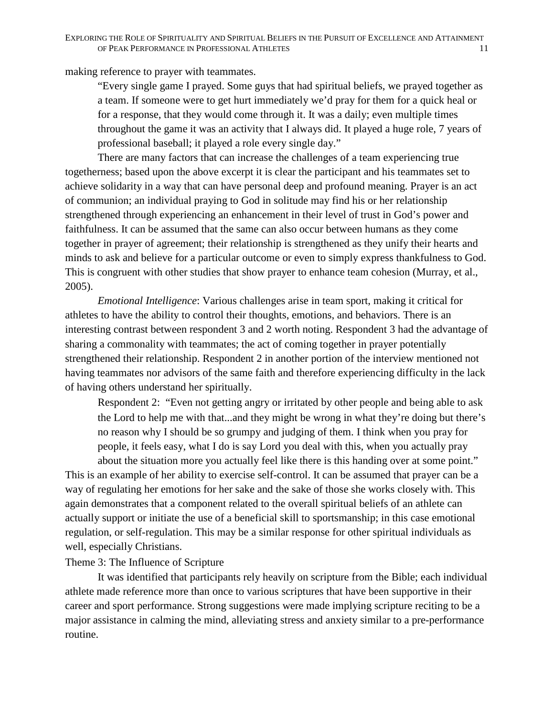making reference to prayer with teammates.

"Every single game I prayed. Some guys that had spiritual beliefs, we prayed together as a team. If someone were to get hurt immediately we'd pray for them for a quick heal or for a response, that they would come through it. It was a daily; even multiple times throughout the game it was an activity that I always did. It played a huge role, 7 years of professional baseball; it played a role every single day."

There are many factors that can increase the challenges of a team experiencing true togetherness; based upon the above excerpt it is clear the participant and his teammates set to achieve solidarity in a way that can have personal deep and profound meaning. Prayer is an act of communion; an individual praying to God in solitude may find his or her relationship strengthened through experiencing an enhancement in their level of trust in God's power and faithfulness. It can be assumed that the same can also occur between humans as they come together in prayer of agreement; their relationship is strengthened as they unify their hearts and minds to ask and believe for a particular outcome or even to simply express thankfulness to God. This is congruent with other studies that show prayer to enhance team cohesion (Murray, et al., 2005).

*Emotional Intelligence*: Various challenges arise in team sport, making it critical for athletes to have the ability to control their thoughts, emotions, and behaviors. There is an interesting contrast between respondent 3 and 2 worth noting. Respondent 3 had the advantage of sharing a commonality with teammates; the act of coming together in prayer potentially strengthened their relationship. Respondent 2 in another portion of the interview mentioned not having teammates nor advisors of the same faith and therefore experiencing difficulty in the lack of having others understand her spiritually.

Respondent 2: "Even not getting angry or irritated by other people and being able to ask the Lord to help me with that...and they might be wrong in what they're doing but there's no reason why I should be so grumpy and judging of them. I think when you pray for people, it feels easy, what I do is say Lord you deal with this, when you actually pray about the situation more you actually feel like there is this handing over at some point."

This is an example of her ability to exercise self-control. It can be assumed that prayer can be a way of regulating her emotions for her sake and the sake of those she works closely with. This again demonstrates that a component related to the overall spiritual beliefs of an athlete can actually support or initiate the use of a beneficial skill to sportsmanship; in this case emotional regulation, or self-regulation. This may be a similar response for other spiritual individuals as well, especially Christians.

# Theme 3: The Influence of Scripture

It was identified that participants rely heavily on scripture from the Bible; each individual athlete made reference more than once to various scriptures that have been supportive in their career and sport performance. Strong suggestions were made implying scripture reciting to be a major assistance in calming the mind, alleviating stress and anxiety similar to a pre-performance routine.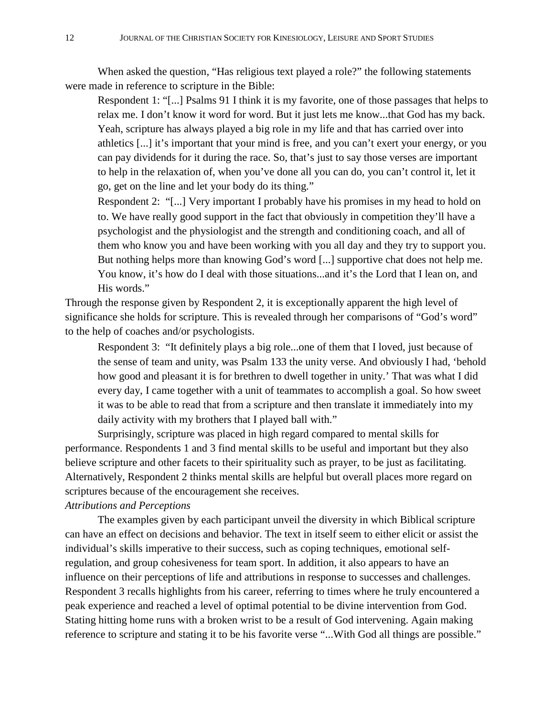When asked the question, "Has religious text played a role?" the following statements were made in reference to scripture in the Bible:

Respondent 1: "[...] Psalms 91 I think it is my favorite, one of those passages that helps to relax me. I don't know it word for word. But it just lets me know...that God has my back. Yeah, scripture has always played a big role in my life and that has carried over into athletics [...] it's important that your mind is free, and you can't exert your energy, or you can pay dividends for it during the race. So, that's just to say those verses are important to help in the relaxation of, when you've done all you can do, you can't control it, let it go, get on the line and let your body do its thing."

Respondent 2: "[...] Very important I probably have his promises in my head to hold on to. We have really good support in the fact that obviously in competition they'll have a psychologist and the physiologist and the strength and conditioning coach, and all of them who know you and have been working with you all day and they try to support you. But nothing helps more than knowing God's word [...] supportive chat does not help me. You know, it's how do I deal with those situations...and it's the Lord that I lean on, and His words."

Through the response given by Respondent 2, it is exceptionally apparent the high level of significance she holds for scripture. This is revealed through her comparisons of "God's word" to the help of coaches and/or psychologists.

Respondent 3: "It definitely plays a big role...one of them that I loved, just because of the sense of team and unity, was Psalm 133 the unity verse. And obviously I had, 'behold how good and pleasant it is for brethren to dwell together in unity.' That was what I did every day, I came together with a unit of teammates to accomplish a goal. So how sweet it was to be able to read that from a scripture and then translate it immediately into my daily activity with my brothers that I played ball with."

Surprisingly, scripture was placed in high regard compared to mental skills for performance. Respondents 1 and 3 find mental skills to be useful and important but they also believe scripture and other facets to their spirituality such as prayer, to be just as facilitating. Alternatively, Respondent 2 thinks mental skills are helpful but overall places more regard on scriptures because of the encouragement she receives.

# *Attributions and Perceptions*

The examples given by each participant unveil the diversity in which Biblical scripture can have an effect on decisions and behavior. The text in itself seem to either elicit or assist the individual's skills imperative to their success, such as coping techniques, emotional selfregulation, and group cohesiveness for team sport. In addition, it also appears to have an influence on their perceptions of life and attributions in response to successes and challenges. Respondent 3 recalls highlights from his career, referring to times where he truly encountered a peak experience and reached a level of optimal potential to be divine intervention from God. Stating hitting home runs with a broken wrist to be a result of God intervening. Again making reference to scripture and stating it to be his favorite verse "...With God all things are possible."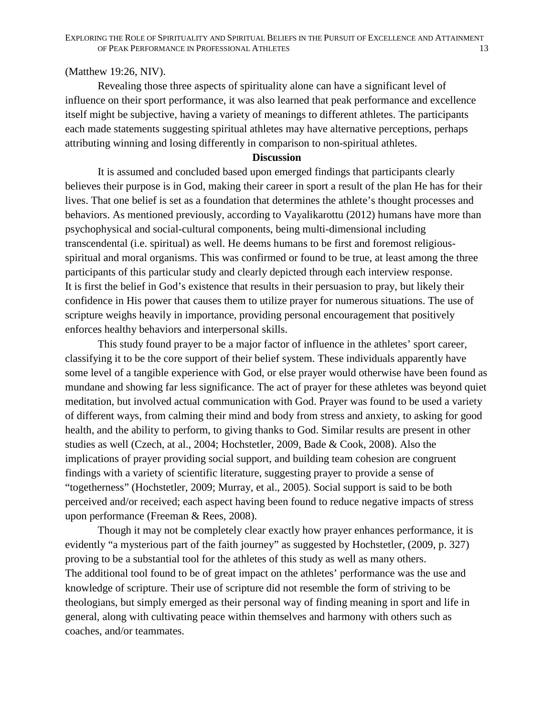# (Matthew 19:26, NIV).

Revealing those three aspects of spirituality alone can have a significant level of influence on their sport performance, it was also learned that peak performance and excellence itself might be subjective, having a variety of meanings to different athletes. The participants each made statements suggesting spiritual athletes may have alternative perceptions, perhaps attributing winning and losing differently in comparison to non-spiritual athletes.

## **Discussion**

It is assumed and concluded based upon emerged findings that participants clearly believes their purpose is in God, making their career in sport a result of the plan He has for their lives. That one belief is set as a foundation that determines the athlete's thought processes and behaviors. As mentioned previously, according to Vayalikarottu (2012) humans have more than psychophysical and social-cultural components, being multi-dimensional including transcendental (i.e. spiritual) as well. He deems humans to be first and foremost religiousspiritual and moral organisms. This was confirmed or found to be true, at least among the three participants of this particular study and clearly depicted through each interview response. It is first the belief in God's existence that results in their persuasion to pray, but likely their confidence in His power that causes them to utilize prayer for numerous situations. The use of scripture weighs heavily in importance, providing personal encouragement that positively enforces healthy behaviors and interpersonal skills.

This study found prayer to be a major factor of influence in the athletes' sport career, classifying it to be the core support of their belief system. These individuals apparently have some level of a tangible experience with God, or else prayer would otherwise have been found as mundane and showing far less significance. The act of prayer for these athletes was beyond quiet meditation, but involved actual communication with God. Prayer was found to be used a variety of different ways, from calming their mind and body from stress and anxiety, to asking for good health, and the ability to perform, to giving thanks to God. Similar results are present in other studies as well (Czech, at al., 2004; Hochstetler, 2009, Bade & Cook, 2008). Also the implications of prayer providing social support, and building team cohesion are congruent findings with a variety of scientific literature, suggesting prayer to provide a sense of "togetherness" (Hochstetler, 2009; Murray, et al., 2005). Social support is said to be both perceived and/or received; each aspect having been found to reduce negative impacts of stress upon performance (Freeman & Rees, 2008).

Though it may not be completely clear exactly how prayer enhances performance, it is evidently "a mysterious part of the faith journey" as suggested by Hochstetler, (2009, p. 327) proving to be a substantial tool for the athletes of this study as well as many others. The additional tool found to be of great impact on the athletes' performance was the use and knowledge of scripture. Their use of scripture did not resemble the form of striving to be theologians, but simply emerged as their personal way of finding meaning in sport and life in general, along with cultivating peace within themselves and harmony with others such as coaches, and/or teammates.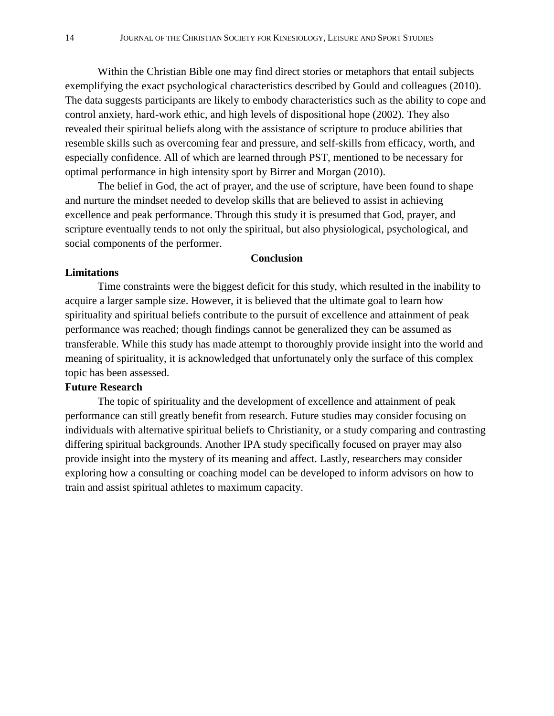Within the Christian Bible one may find direct stories or metaphors that entail subjects exemplifying the exact psychological characteristics described by Gould and colleagues (2010). The data suggests participants are likely to embody characteristics such as the ability to cope and control anxiety, hard-work ethic, and high levels of dispositional hope (2002). They also revealed their spiritual beliefs along with the assistance of scripture to produce abilities that resemble skills such as overcoming fear and pressure, and self-skills from efficacy, worth, and especially confidence. All of which are learned through PST, mentioned to be necessary for optimal performance in high intensity sport by Birrer and Morgan (2010).

The belief in God, the act of prayer, and the use of scripture, have been found to shape and nurture the mindset needed to develop skills that are believed to assist in achieving excellence and peak performance. Through this study it is presumed that God, prayer, and scripture eventually tends to not only the spiritual, but also physiological, psychological, and social components of the performer.

#### **Conclusion**

#### **Limitations**

Time constraints were the biggest deficit for this study, which resulted in the inability to acquire a larger sample size. However, it is believed that the ultimate goal to learn how spirituality and spiritual beliefs contribute to the pursuit of excellence and attainment of peak performance was reached; though findings cannot be generalized they can be assumed as transferable. While this study has made attempt to thoroughly provide insight into the world and meaning of spirituality, it is acknowledged that unfortunately only the surface of this complex topic has been assessed.

### **Future Research**

The topic of spirituality and the development of excellence and attainment of peak performance can still greatly benefit from research. Future studies may consider focusing on individuals with alternative spiritual beliefs to Christianity, or a study comparing and contrasting differing spiritual backgrounds. Another IPA study specifically focused on prayer may also provide insight into the mystery of its meaning and affect. Lastly, researchers may consider exploring how a consulting or coaching model can be developed to inform advisors on how to train and assist spiritual athletes to maximum capacity.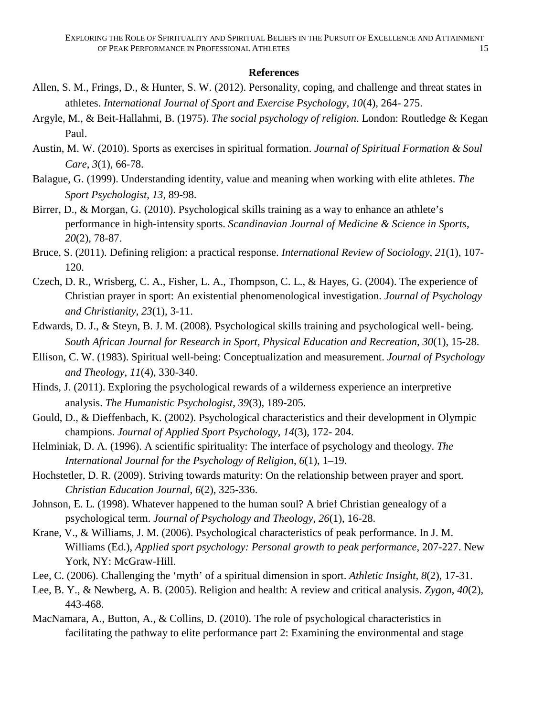### **References**

- Allen, S. M., Frings, D., & Hunter, S. W. (2012). Personality, coping, and challenge and threat states in athletes. *International Journal of Sport and Exercise Psychology*, *10*(4), 264- 275.
- Argyle, M., & Beit-Hallahmi, B. (1975). *The social psychology of religion*. London: Routledge & Kegan Paul.
- Austin, M. W. (2010). Sports as exercises in spiritual formation. *Journal of Spiritual Formation & Soul Care*, *3*(1), 66-78.
- Balague, G. (1999). Understanding identity, value and meaning when working with elite athletes. *The Sport Psychologist*, *13*, 89-98.
- Birrer, D., & Morgan, G. (2010). Psychological skills training as a way to enhance an athlete's performance in high-intensity sports. *Scandinavian Journal of Medicine & Science in Sports*, *20*(2), 78-87.
- Bruce, S. (2011). Defining religion: a practical response. *International Review of Sociology*, *21*(1), 107- 120.
- Czech, D. R., Wrisberg, C. A., Fisher, L. A., Thompson, C. L., & Hayes, G. (2004). The experience of Christian prayer in sport: An existential phenomenological investigation. *Journal of Psychology and Christianity*, *23*(1), 3-11.
- Edwards, D. J., & Steyn, B. J. M. (2008). Psychological skills training and psychological well- being. *South African Journal for Research in Sport, Physical Education and Recreation*, *30*(1), 15-28.
- Ellison, C. W. (1983). Spiritual well-being: Conceptualization and measurement. *Journal of Psychology and Theology*, *11*(4), 330-340.
- Hinds, J. (2011). Exploring the psychological rewards of a wilderness experience an interpretive analysis. *The Humanistic Psychologist*, *39*(3), 189-205.
- Gould, D., & Dieffenbach, K. (2002). Psychological characteristics and their development in Olympic champions. *Journal of Applied Sport Psychology*, *14*(3), 172- 204.
- Helminiak, D. A. (1996). A scientific spirituality: The interface of psychology and theology. *The International Journal for the Psychology of Religion*, *6*(1), 1–19.
- Hochstetler, D. R. (2009). Striving towards maturity: On the relationship between prayer and sport. *Christian Education Journal*, *6*(2), 325-336.
- Johnson, E. L. (1998). Whatever happened to the human soul? A brief Christian genealogy of a psychological term. *Journal of Psychology and Theology*, *26*(1), 16-28.
- Krane, V., & Williams, J. M. (2006). Psychological characteristics of peak performance. In J. M. Williams (Ed.), *Applied sport psychology: Personal growth to peak performance*, 207-227. New York, NY: McGraw-Hill.
- Lee, C. (2006). Challenging the 'myth' of a spiritual dimension in sport. *Athletic Insight, 8*(2), 17-31.
- Lee, B. Y., & Newberg, A. B. (2005). Religion and health: A review and critical analysis. *Zygon*, *40*(2), 443-468.
- MacNamara, A., Button, A., & Collins, D. (2010). The role of psychological characteristics in facilitating the pathway to elite performance part 2: Examining the environmental and stage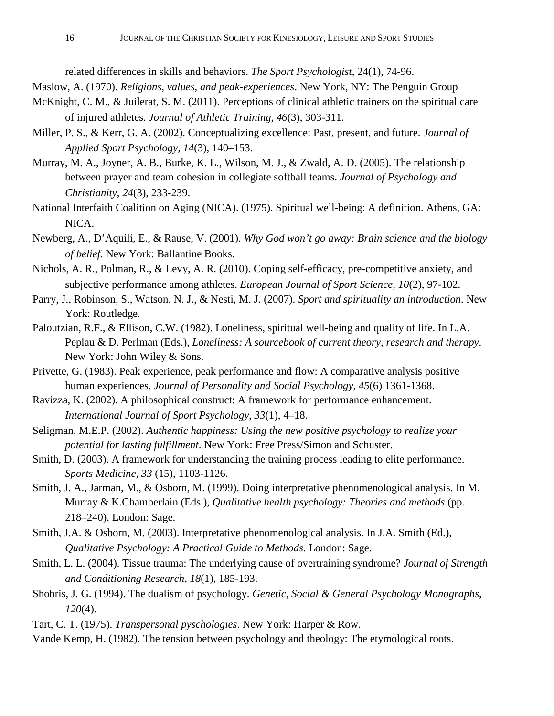related differences in skills and behaviors. *The Sport Psychologist*, 24(1), 74-96.

Maslow, A. (1970). *Religions, values, and peak-experiences*. New York, NY: The Penguin Group

- McKnight, C. M., & Juilerat, S. M. (2011). Perceptions of clinical athletic trainers on the spiritual care of injured athletes. *Journal of Athletic Training*, *46*(3), 303-311.
- Miller, P. S., & Kerr, G. A. (2002). Conceptualizing excellence: Past, present, and future. *Journal of Applied Sport Psychology, 14*(3), 140–153.
- Murray, M. A., Joyner, A. B., Burke, K. L., Wilson, M. J., & Zwald, A. D. (2005). The relationship between prayer and team cohesion in collegiate softball teams. *Journal of Psychology and Christianity*, *24*(3), 233-239.
- National Interfaith Coalition on Aging (NICA). (1975). Spiritual well-being: A definition. Athens, GA: NICA.
- Newberg, A., D'Aquili, E., & Rause, V. (2001). *Why God won't go away: Brain science and the biology of belief*. New York: Ballantine Books.
- Nichols, A. R., Polman, R., & Levy, A. R. (2010). Coping self-efficacy, pre-competitive anxiety, and subjective performance among athletes. *European Journal of Sport Science, 10*(2), 97-102.
- Parry, J., Robinson, S., Watson, N. J., & Nesti, M. J. (2007). *Sport and spirituality an introduction*. New York: Routledge.
- Paloutzian, R.F., & Ellison, C.W. (1982). Loneliness, spiritual well-being and quality of life. In L.A. Peplau & D. Perlman (Eds.), *Loneliness: A sourcebook of current theory, research and therapy*. New York: John Wiley & Sons.
- Privette, G. (1983). Peak experience, peak performance and flow: A comparative analysis positive human experiences. *Journal of Personality and Social Psychology*, *45*(6) 1361-1368.
- Ravizza, K. (2002). A philosophical construct: A framework for performance enhancement. *International Journal of Sport Psychology*, *33*(1), 4–18.
- Seligman, M.E.P. (2002). *Authentic happiness: Using the new positive psychology to realize your potential for lasting fulfillment*. New York: Free Press/Simon and Schuster.
- Smith, D. (2003). A framework for understanding the training process leading to elite performance. *Sports Medicine, 33* (15), 1103-1126.
- Smith, J. A., Jarman, M., & Osborn, M. (1999). Doing interpretative phenomenological analysis. In M. Murray & K.Chamberlain (Eds.), *Qualitative health psychology: Theories and methods* (pp. 218–240). London: Sage.
- Smith, J.A. & Osborn, M. (2003). Interpretative phenomenological analysis. In J.A. Smith (Ed.), *Qualitative Psychology: A Practical Guide to Methods.* London: Sage.
- Smith, L. L. (2004). Tissue trauma: The underlying cause of overtraining syndrome? *Journal of Strength and Conditioning Research, 18*(1), 185-193.
- Shobris, J. G. (1994). The dualism of psychology. *Genetic, Social & General Psychology Monographs*, *120*(4).
- Tart, C. T. (1975). *Transpersonal pyschologies*. New York: Harper & Row.
- Vande Kemp, H. (1982). The tension between psychology and theology: The etymological roots.